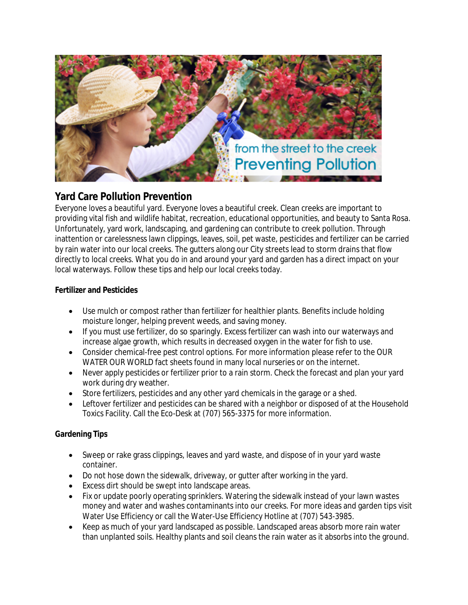

# **Yard Care Pollution Prevention**

Everyone loves a beautiful yard. Everyone loves a beautiful creek. Clean creeks are important to providing vital fish and wildlife habitat, recreation, educational opportunities, and beauty to Santa Rosa. Unfortunately, yard work, landscaping, and gardening can contribute to creek pollution. Through inattention or carelessness lawn clippings, leaves, soil, pet waste, pesticides and fertilizer can be carried by rain water into our local creeks. The gutters along our City streets lead to storm drains that flow directly to local creeks. What you do in and around your yard and garden has a direct impact on your local waterways. Follow these tips and help our local creeks today.

# **Fertilizer and Pesticides**

- Use mulch or compost rather than fertilizer for healthier plants. Benefits include holding moisture longer, helping prevent weeds, and saving money.
- If you must use fertilizer, do so sparingly. Excess fertilizer can wash into our waterways and increase algae growth, which results in decreased oxygen in the water for fish to use.
- Consider chemical-free pest control options. For more information please refer to the OUR WATER OUR WORLD fact sheets found in many local nurseries or on the internet.
- Never apply pesticides or fertilizer prior to a rain storm. Check the forecast and plan your yard work during dry weather.
- Store fertilizers, pesticides and any other yard chemicals in the garage or a shed.
- Leftover fertilizer and pesticides can be shared with a neighbor or disposed of at the Household Toxics Facility. Call the Eco-Desk at (707) 565-3375 for more information.

# **Gardening Tips**

- Sweep or rake grass clippings, leaves and yard waste, and dispose of in your yard waste container.
- Do not hose down the sidewalk, driveway, or gutter after working in the yard.
- Excess dirt should be swept into landscape areas.
- Fix or update poorly operating sprinklers. Watering the sidewalk instead of your lawn wastes money and water and washes contaminants into our creeks. For more ideas and garden tips visit Water Use Efficiency or call the Water-Use Efficiency Hotline at (707) 543-3985.
- Keep as much of your yard landscaped as possible. Landscaped areas absorb more rain water than unplanted soils. Healthy plants and soil cleans the rain water as it absorbs into the ground.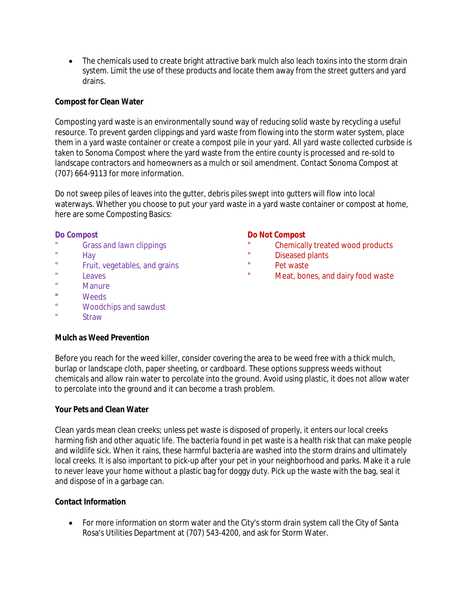• The chemicals used to create bright attractive bark mulch also leach toxins into the storm drain system. Limit the use of these products and locate them away from the street gutters and yard drains.

#### **Compost for Clean Water**

Composting yard waste is an environmentally sound way of reducing solid waste by recycling a useful resource. To prevent garden clippings and yard waste from flowing into the storm water system, place them in a yard waste container or create a compost pile in your yard. All yard waste collected curbside is taken to Sonoma Compost where the yard waste from the entire county is processed and re-sold to landscape contractors and homeowners as a mulch or soil amendment. Contact Sonoma Compost at (707) 664-9113 for more information.

Do not sweep piles of leaves into the gutter, debris piles swept into gutters will flow into local waterways. Whether you choose to put your yard waste in a yard waste container or compost at home, here are some Composting Basics:

#### **Do Compost**

- Grass and lawn clippings
- " Hay
- Fruit, vegetables, and grains
- " Leaves
- **Manure**
- Weeds
- Woodchips and sawdust
- " Straw

# Chemically treated wood products

**Do Not Compost**

- " Diseased plants
- Pet waste
- Meat, bones, and dairy food waste

# **Mulch as Weed Prevention**

Before you reach for the weed killer, consider covering the area to be weed free with a thick mulch, burlap or landscape cloth, paper sheeting, or cardboard. These options suppress weeds without chemicals and allow rain water to percolate into the ground. Avoid using plastic, it does not allow water to percolate into the ground and it can become a trash problem.

# **Your Pets and Clean Water**

Clean yards mean clean creeks; unless pet waste is disposed of properly, it enters our local creeks harming fish and other aquatic life. The bacteria found in pet waste is a health risk that can make people and wildlife sick. When it rains, these harmful bacteria are washed into the storm drains and ultimately local creeks. It is also important to pick-up after your pet in your neighborhood and parks. Make it a rule to never leave your home without a plastic bag for doggy duty. Pick up the waste with the bag, seal it and dispose of in a garbage can.

# **Contact Information**

• For more information on storm water and the City's storm drain system call the City of Santa Rosa's Utilities Department at (707) 543-4200, and ask for Storm Water.